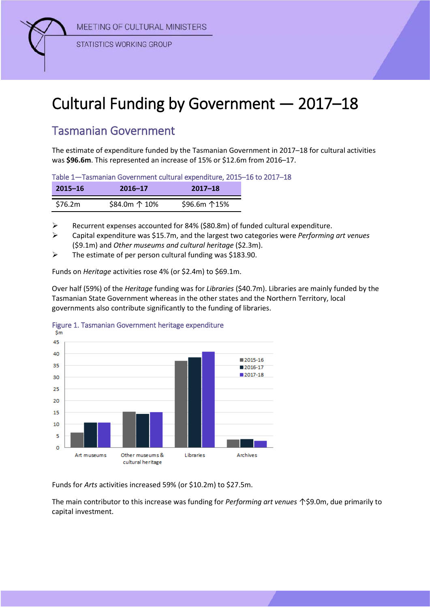MEETING OF CULTURAL MINISTERS



**STATISTICS WORKING GROUP** 

# Cultural Funding by Government — 2017–18

# Tasmanian Government

The estimate of expenditure funded by the Tasmanian Government in 2017–18 for cultural activities was **\$96.6m**. This represented an increase of 15% or \$12.6m from 2016–17.

Table 1—Tasmanian Government cultural expenditure, 2015–16 to 2017–18

| $2015 - 16$ | $2016 - 17$   | $2017 - 18$ |
|-------------|---------------|-------------|
| \$76.2m     | \$84.0m ↑ 10% | \$96.6m 15% |

Recurrent expenses accounted for 84% (\$80.8m) of funded cultural expenditure.

 Capital expenditure was \$15.7m, and the largest two categories were *Performing art venues* (\$9.1m) and *Other museums and cultural heritage* (\$2.3m).

 $\triangleright$  The estimate of per person cultural funding was \$183.90.

Funds on *Heritage* activities rose 4% (or \$2.4m) to \$69.1m.

Over half (59%) of the *Heritage* funding was for *Libraries* (\$40.7m). Libraries are mainly funded by the Tasmanian State Government whereas in the other states and the Northern Territory, local governments also contribute significantly to the funding of libraries.



## Figure 1. Tasmanian Government heritage expenditure

Funds for *Arts* activities increased 59% (or \$10.2m) to \$27.5m.

The main contributor to this increase was funding for *Performing art venues* ↑\$9.0m, due primarily to capital investment.